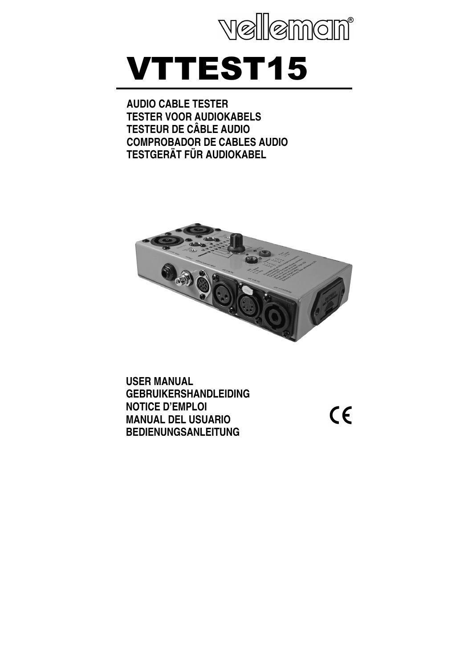

# VTTEST15

**AUDIO CABLE TESTER TESTER VOOR AUDIOKABELS TESTEUR DE CÂBLE AUDIO COMPROBADOR DE CABLES AUDIO TESTGERÄT FÜR AUDIOKABEL** 



**USER MANUAL GEBRUIKERSHANDLEIDING NOTICE D'EMPLOI MANUAL DEL USUARIO BEDIENUNGSANLEITUNG**

 $\epsilon$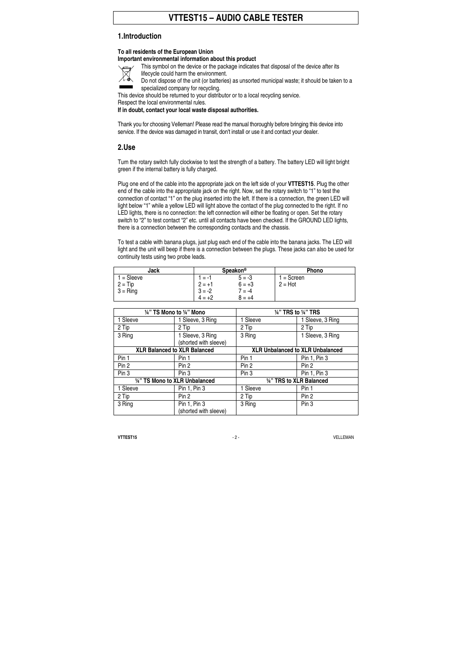# **VTTEST15 – AUDIO CABLE TESTER**

#### **1. Introduction**

#### **To all residents of the European Union**

#### **Important environmental information about this product**

- This symbol on the device or the package indicates that disposal of the device after its
	- lifecycle could harm the environment.
- Do not dispose of the unit (or batteries) as unsorted municipal waste; it should be taken to a specialized company for recycling.

This device should be returned to your distributor or to a local recycling service.

Respect the local environmental rules.

**If in doubt, contact your local waste disposal authorities.** 

Thank you for choosing Velleman! Please read the manual thoroughly before bringing this device into service. If the device was damaged in transit, don't install or use it and contact your dealer.

#### **2. Use**

Turn the rotary switch fully clockwise to test the strength of a battery. The battery LED will light bright green if the internal battery is fully charged.

Plug one end of the cable into the appropriate jack on the left side of your **VTTEST15**. Plug the other end of the cable into the appropriate jack on the right. Now, set the rotary switch to "1" to test the connection of contact "1" on the plug inserted into the left. If there is a connection, the green LED will light below "1" while a yellow LED will light above the contact of the plug connected to the right. If no LED lights, there is no connection: the left connection will either be floating or open. Set the rotary switch to "2" to test contact "2" etc. until all contacts have been checked. If the GROUND LED lights, there is a connection between the corresponding contacts and the chassis.

To test a cable with banana plugs, just plug each end of the cable into the banana jacks. The LED will light and the unit will beep if there is a connection between the plugs. These jacks can also be used for continuity tests using two probe leads.

| Jack       | <b>Speakon®</b> |          | <b>Phono</b> |
|------------|-----------------|----------|--------------|
| $=$ Sleeve | $= -1$          | $5 = -3$ | $=$ Screen   |
| $2 = Tip$  | $2 = +1$        | $6 = +3$ | $2 = Hot$    |
| $3 =$ Ring | $3 = -2$        | $7 = -4$ |              |
|            | $= +2$          | $8 = +4$ |              |

| 1/4" TS Mono to 1/4" Mono           |                                           | 1/4" TRS to 1/4" TRS                    |                          |  |
|-------------------------------------|-------------------------------------------|-----------------------------------------|--------------------------|--|
| 1 Sleeve                            | 1 Sleeve, 3 Ring                          | 1 Sleeve                                | 1 Sleeve, 3 Ring         |  |
| 2 Tip                               | 2 Tip                                     | 2 Tip                                   | 2 Tip                    |  |
| 3 Ring                              | 1 Sleeve, 3 Ring<br>(shorted with sleeve) | 3 Ring                                  | 1 Sleeve, 3 Ring         |  |
| <b>XLR Balanced to XLR Balanced</b> |                                           | <b>XLR Unbalanced to XLR Unbalanced</b> |                          |  |
| Pin 1                               | Pin 1                                     | Pin 1                                   | Pin 1, Pin 3             |  |
| Pin 2                               | Pin <sub>2</sub>                          | Pin 2                                   | Pin <sub>2</sub>         |  |
| Pin 3                               | Pin 3                                     | Pin 3                                   | Pin 1, Pin 3             |  |
|                                     | 1/4" TS Mono to XLR Unbalanced            |                                         | 1/4" TRS to XLR Balanced |  |
| 1 Sleeve                            | Pin 1, Pin 3                              | 1 Sleeve                                | Pin 1                    |  |
| 2 Tip                               | Pin 2                                     | 2 Tip                                   | Pin 2                    |  |
| 3 Ring                              | Pin 1, Pin 3<br>(shorted with sleeve)     | 3 Ring                                  | Pin 3                    |  |

**VTTEST15** - 2 - VELLEMAN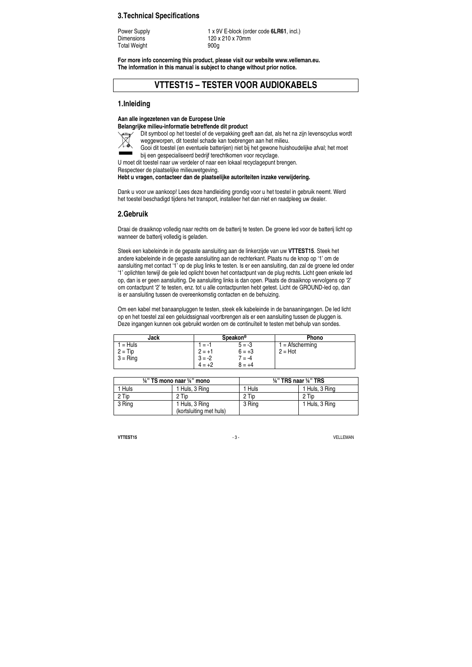#### **3. Technical Specifications**

Total Weight 900g

Power Supply 1 x 9V E-block (order code **6LR61**, incl.) Dimensions 120 x 210 x 70mm

**For more info concerning this product, please visit our website www.velleman.eu. The information in this manual is subject to change without prior notice.** 

# **VTTEST15 – TESTER VOOR AUDIOKABELS**

#### **1. Inleiding**

#### **Aan alle ingezetenen van de Europese Unie**

**Belangrijke milieu-informatie betreffende dit product**  Dit symbool op het toestel of de verpakking geeft aan dat, als het na zijn levenscyclus wordt

weggeworpen, dit toestel schade kan toebrengen aan het milieu.  $\boxtimes$ 

Gooi dit toestel (en eventuele batterijen) niet bij het gewone huishoudelijke afval; het moet bij een gespecialiseerd bedrijf terechtkomen voor recyclage.

U moet dit toestel naar uw verdeler of naar een lokaal recyclagepunt brengen.

Respecteer de plaatselijke milieuwetgeving.

#### **Hebt u vragen, contacteer dan de plaatselijke autoriteiten inzake verwijdering.**

Dank u voor uw aankoop! Lees deze handleiding grondig voor u het toestel in gebruik neemt. Werd het toestel beschadigd tijdens het transport, installeer het dan niet en raadpleeg uw dealer.

# **2. Gebruik**

Draai de draaiknop volledig naar rechts om de batterij te testen. De groene led voor de batterij licht op wanneer de batterij volledig is geladen.

Steek een kabeleinde in de gepaste aansluiting aan de linkerzijde van uw **VTTEST15**. Steek het andere kabeleinde in de gepaste aansluiting aan de rechterkant. Plaats nu de knop op '1' om de aansluiting met contact '1' op de plug links te testen. Is er een aansluiting, dan zal de groene led onder '1' oplichten terwijl de gele led oplicht boven het contactpunt van de plug rechts. Licht geen enkele led op, dan is er geen aansluiting. De aansluiting links is dan open. Plaats de draaiknop vervolgens op '2' om contactpunt '2' te testen, enz. tot u alle contactpunten hebt getest. Licht de GROUND-led op, dan is er aansluiting tussen de overeenkomstig contacten en de behuizing.

Om een kabel met banaanpluggen te testen, steek elk kabeleinde in de banaaningangen. De led licht op en het toestel zal een geluidssignaal voortbrengen als er een aansluiting tussen de pluggen is. Deze ingangen kunnen ook gebruikt worden om de continuïteit te testen met behulp van sondes.

| Jack                    | Speakon <sup>®</sup> |                      | <b>Phono</b>                   |
|-------------------------|----------------------|----------------------|--------------------------------|
| $1 = Huls$<br>$2 = Tip$ | $1 = -1$<br>$2 = +1$ | $5 = -3$<br>$6 = +3$ | $1 =$ Afscherming<br>$2 = Hot$ |
| $3 =$ Ring              | $3 = -2$             | $7 = -4$             |                                |
|                         | $4 = +2$             | $8 = +4$             |                                |

| $\frac{1}{4}$ " TS mono naar $\frac{1}{4}$ " mono |                                           | $\frac{1}{4}$ " TRS naar $\frac{1}{4}$ " TRS |                |  |
|---------------------------------------------------|-------------------------------------------|----------------------------------------------|----------------|--|
| 1 Huls                                            | 1 Huls, 3 Rina                            | 1 Huls                                       | 1 Huls, 3 Ring |  |
| 2 Tip                                             | 2 Tip                                     | 2 Tip                                        | 2 Tip          |  |
| 3 Ring                                            | 1 Huls, 3 Ring<br>(kortsluiting met huls) | 3 Ring                                       | 1 Huls, 3 Ring |  |

**VTTEST15** VELLEMAN CHARGES AND RESERVE THE SERVE AND RESERVE THE SERVER OF STATISTIC SERVER AND RESERVE THE SERVER OF STATISTICS OF SERVER AND RESERVE THE SERVER OF STATISTICS OF SERVER AND RESERVE THE SERVER OF STATISTIC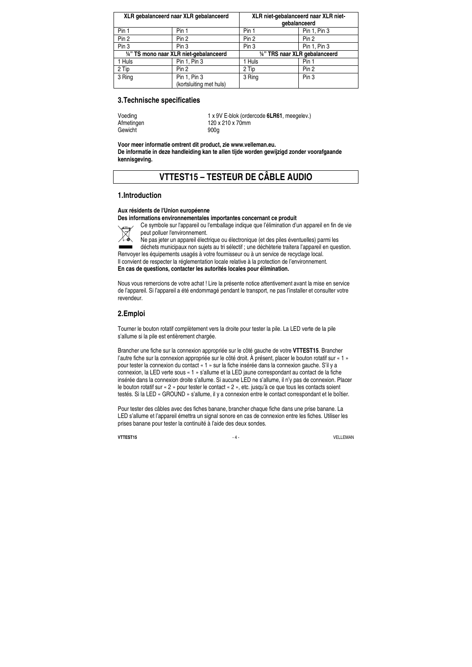| XLR gebalanceerd naar XLR gebalanceerd  |                                         | XLR niet-gebalanceerd naar XLR niet-<br>qebalanceerd |              |  |
|-----------------------------------------|-----------------------------------------|------------------------------------------------------|--------------|--|
| Pin 1                                   | Pin 1                                   | Pin 1                                                | Pin 1, Pin 3 |  |
| Pin 2                                   | Pin 2                                   | Pin 2                                                | Pin 2        |  |
| Pin <sub>3</sub>                        | Pin <sub>3</sub>                        | Pin <sub>3</sub>                                     | Pin 1, Pin 3 |  |
| 1/4" TS mono naar XLR niet-gebalanceerd |                                         | 1/4" TRS naar XLR gebalanceerd                       |              |  |
| 1 Huls                                  | Pin 1, Pin 3                            | 1 Huls                                               | Pin 1        |  |
| 2 Tip                                   | Pin 2                                   | 2 Tip                                                | Pin 2        |  |
| 3 Ring                                  | Pin 1, Pin 3<br>(kortsluiting met huls) | 3 Ring                                               | Pin 3        |  |

#### **3. Technische specificaties**

Gewicht 900g

Voeding 1 x 9V E-blok (ordercode **6LR61**, meegelev.)<br>Afmetingen 120 x 210 x 70mm 120 x 210 x 70mm

**Voor meer informatie omtrent dit product, zie www.velleman.eu. De informatie in deze handleiding kan te allen tijde worden gewijzigd zonder voorafgaande kennisgeving.** 

# **VTTEST15 – TESTEUR DE CÂBLE AUDIO**

### **1. Introduction**

#### **Aux résidents de l'Union européenne**

**Des informations environnementales importantes concernant ce produit** 

Ce symbole sur l'appareil ou l'emballage indique que l'élimination d'un appareil en fin de vie peut polluer l'environnement.

Ne pas jeter un appareil électrique ou électronique (et des piles éventuelles) parmi les

déchets municipaux non sujets au tri sélectif ; une déchèterie traitera l'appareil en question. Renvoyer les équipements usagés à votre fournisseur ou à un service de recyclage local. Il convient de respecter la réglementation locale relative à la protection de l'environnement. **En cas de questions, contacter les autorités locales pour élimination.** 

Nous vous remercions de votre achat ! Lire la présente notice attentivement avant la mise en service de l'appareil. Si l'appareil a été endommagé pendant le transport, ne pas l'installer et consulter votre revendeur.

#### **2. Emploi**

Tourner le bouton rotatif complètement vers la droite pour tester la pile. La LED verte de la pile s'allume si la pile est entièrement chargée.

Brancher une fiche sur la connexion appropriée sur le côté gauche de votre **VTTEST15**. Brancher l'autre fiche sur la connexion appropriée sur le côté droit. À présent, placer le bouton rotatif sur « 1 » pour tester la connexion du contact « 1 » sur la fiche insérée dans la connexion gauche. S'il y a connexion, la LED verte sous « 1 » s'allume et la LED jaune correspondant au contact de la fiche insérée dans la connexion droite s'allume. Si aucune LED ne s'allume, il n'y pas de connexion. Placer le bouton rotatif sur « 2 » pour tester le contact « 2 », etc. jusqu'à ce que tous les contacts soient testés. Si la LED « GROUND » s'allume, il y a connexion entre le contact correspondant et le boîtier.

Pour tester des câbles avec des fiches banane, brancher chaque fiche dans une prise banane. La LED s'allume et l'appareil émettra un signal sonore en cas de connexion entre les fiches. Utiliser les prises banane pour tester la continuité à l'aide des deux sondes.

**VTTEST15** VELLEMAN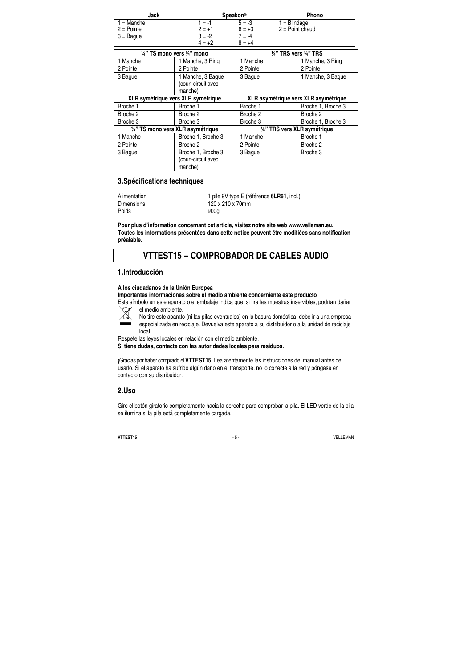| Jack                                               |                                                     | Speakon <sup>®</sup>                      |                                  | Phono          |                                      |
|----------------------------------------------------|-----------------------------------------------------|-------------------------------------------|----------------------------------|----------------|--------------------------------------|
| $1 = \text{Manche}$<br>$2 =$ Pointe<br>$3 =$ Baque |                                                     | $1 = -1$<br>$2 = +1$<br>$3 = -2$          | $5 = -3$<br>$6 = +3$<br>$7 = -4$ | $1 = Blindage$ | $2 = Point$ chaud                    |
|                                                    |                                                     | $4 = +2$                                  | $8 = +4$                         |                |                                      |
| 1/4" TS mono vers 1/4" mono                        |                                                     |                                           | 14" TRS vers 14" TRS             |                |                                      |
| 1 Manche                                           |                                                     | 1 Manche, 3 Ring                          | 1 Manche                         |                | 1 Manche, 3 Ring                     |
| 2 Pointe                                           | 2 Pointe                                            |                                           | 2 Pointe                         |                | 2 Pointe                             |
| 3 Bague                                            | 1 Manche, 3 Bague<br>(court-circuit avec<br>manche) |                                           | 3 Bague                          |                | 1 Manche, 3 Bague                    |
| XLR symétrique vers XLR symétrique                 |                                                     |                                           |                                  |                | XLR asymétrique vers XLR asymétrique |
| Broche 1                                           | Broche 1                                            |                                           | Broche 1                         |                | Broche 1, Broche 3                   |
| Broche 2                                           | Broche 2                                            |                                           | Broche 2                         |                | Broche 2                             |
| Broche 3                                           | Broche 3                                            |                                           | Broche 3                         |                | Broche 1, Broche 3                   |
| 1/4" TS mono vers XLR asymétrique                  |                                                     |                                           | 1/4" TRS vers XLR symétrique     |                |                                      |
| 1 Manche                                           |                                                     | Broche 1, Broche 3                        | 1 Manche                         |                | Broche 1                             |
| 2 Pointe                                           | Broche 2                                            |                                           | 2 Pointe                         |                | Broche 2                             |
| 3 Bague                                            | manche)                                             | Broche 1, Broche 3<br>(court-circuit avec | 3 Bague                          |                | Broche 3                             |

# **3. Spécifications techniques**

| Alimentation |  |
|--------------|--|
| Dimensions   |  |
| Poids        |  |

1 pile 9V type E (référence **6LR61**, incl.) 120 x 210 x 70mm Poids 900g

**Pour plus d'information concernant cet article, visitez notre site web www.velleman.eu. Toutes les informations présentées dans cette notice peuvent être modifiées sans notification préalable.** 

# **VTTEST15 – COMPROBADOR DE CABLES AUDIO**

#### **1. Introducción**

#### **A los ciudadanos de la Unión Europea**

**Importantes informaciones sobre el medio ambiente concerniente este producto** 

- Este símbolo en este aparato o el embalaje indica que, si tira las muestras inservibles, podrían dañar el medio ambiente.  $\boxtimes$ 
	- No tire este aparato (ni las pilas eventuales) en la basura doméstica; debe ir a una empresa especializada en reciclaje. Devuelva este aparato a su distribuidor o a la unidad de reciclaje local.
- Respete las leyes locales en relación con el medio ambiente.

**Si tiene dudas, contacte con las autoridades locales para residuos.** 

¡Gracias por haber comprado el **VTTEST15**! Lea atentamente las instrucciones del manual antes de usarlo. Si el aparato ha sufrido algún daño en el transporte, no lo conecte a la red y póngase en contacto con su distribuidor.

### **2. Uso**

Gire el botón giratorio completamente hacia la derecha para comprobar la pila. El LED verde de la pila se ilumina si la pila está completamente cargada.

**VTTEST15** VELLEMAN USE A SERVE AND STRUCK A SERVE A SERVE AND STRUCK A SERVER AND STRUCK A SERVER AND STRUCK A SERVER AND STRUCK A SERVER AND STRUCK A SERVER AND STRUCK A SERVER AND STRUCK A SERVER AND STRUCK A SERVER AND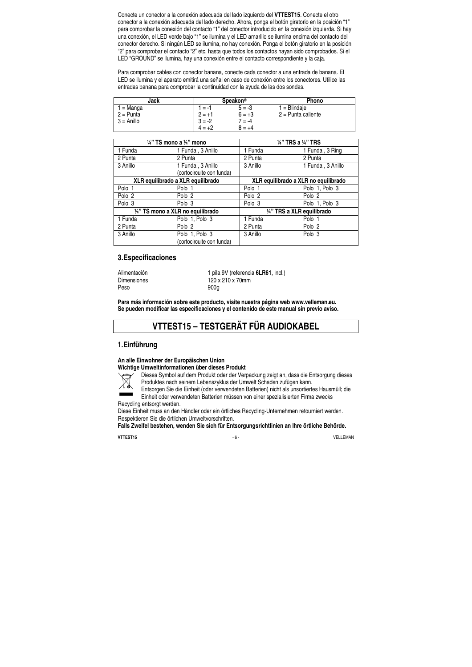Conecte un conector a la conexión adecuada del lado izquierdo del **VTTEST15**. Conecte el otro conector a la conexión adecuada del lado derecho. Ahora, ponga el botón giratorio en la posición "1" para comprobar la conexión del contacto "1" del conector introducido en la conexión izquierda. Si hay una conexión, el LED verde bajo "1" se ilumina y el LED amarillo se ilumina encima del contacto del conector derecho. Si ningún LED se ilumina, no hay conexión. Ponga el botón giratorio en la posición "2" para comprobar el contacto "2" etc. hasta que todos los contactos hayan sido comprobados. Si el LED "GROUND" se ilumina, hay una conexión entre el contacto correspondiente y la caja.

Para comprobar cables con conector banana, conecte cada conector a una entrada de banana. El LED se ilumina y el aparato emitirá una señal en caso de conexión entre los conectores. Utilice las entradas banana para comprobar la continuidad con la ayuda de las dos sondas.

| Jack         | <b>Speakon®</b> |          | Phono              |
|--------------|-----------------|----------|--------------------|
| 1 = Manga    | 1 = -1          | $5 = -3$ | $1 = Blindaie$     |
| $2 =$ Punta  | $2 = +1$        | $6 = +3$ | 2 = Punta caliente |
| $3 =$ Anillo | $3 = -2$        | $7 = -4$ |                    |
|              | $4 = +2$        | $8 = +4$ |                    |

| $\frac{1}{4}$ " TS mono a $\frac{1}{4}$ " mono |                                   | $\frac{1}{4}$ " TRS a $\frac{1}{4}$ " TRS |                            |  |
|------------------------------------------------|-----------------------------------|-------------------------------------------|----------------------------|--|
| 1 Funda                                        | 1 Funda, 3 Anillo                 | 1 Funda                                   | 1 Funda, 3 Ring            |  |
| 2 Punta                                        | 2 Punta                           | 2 Punta                                   | 2 Punta                    |  |
| 3 Anillo                                       | 1 Funda, 3 Anillo                 | 3 Anillo                                  | 1 Funda, 3 Anillo          |  |
|                                                | (cortocircuite con funda)         |                                           |                            |  |
| XLR equilibrado a XLR equilibrado              |                                   | XLR equilibrado a XLR no equilibrado      |                            |  |
| Polo 1                                         | Polo 1                            | Polo 1                                    | Polo 1, Polo 3             |  |
| Polo <sub>2</sub>                              | Polo 2                            | Polo <sub>2</sub>                         | Polo <sub>2</sub>          |  |
| Polo 3                                         | Polo 3                            | Polo 3                                    | Polo 1, Polo 3             |  |
|                                                | 1/4" TS mono a XLR no equilibrado |                                           | 1/4" TRS a XLR equilibrado |  |
| 1 Funda                                        | Polo 1, Polo 3                    | 1 Funda                                   | Polo 1                     |  |
| 2 Punta                                        | Polo 2                            | 2 Punta                                   | Polo 2                     |  |
| 3 Anillo                                       | Polo 1, Polo 3                    | 3 Anillo                                  | Polo 3                     |  |
|                                                | (cortocircuite con funda)         |                                           |                            |  |

# **3. Especificaciones**

Peso 900g

Alimentación 1 pila 9V (referencia **6LR61**, incl.)<br>Dimensiones 120 x 210 x 70mm 120 x 210 x 70mm

**Para más información sobre este producto, visite nuestra página web www.velleman.eu. Se pueden modificar las especificaciones y el contenido de este manual sin previo aviso.** 

# **VTTEST15 – TESTGERÄT FÜR AUDIOKABEL**

#### **1. Einführung**

**An alle Einwohner der Europäischen Union** 

#### **Wichtige Umweltinformationen über dieses Produkt**

Dieses Symbol auf dem Produkt oder der Verpackung zeigt an, dass die Entsorgung dieses Produktes nach seinem Lebenszyklus der Umwelt Schaden zufügen kann.

 $\boxtimes$ 

Entsorgen Sie die Einheit (oder verwendeten Batterien) nicht als unsortiertes Hausmüll; die Einheit oder verwendeten Batterien müssen von einer spezialisierten Firma zwecks Recycling entsorgt werden.

Diese Einheit muss an den Händler oder ein örtliches Recycling-Unternehmen retourniert werden. Respektieren Sie die örtlichen Umweltvorschriften.

**Falls Zweifel bestehen, wenden Sie sich für Entsorgungsrichtlinien an Ihre örtliche Behörde.** 

**VTTEST15** VELLEMAN CHARGES OF A SERIES OF A SERIES OF A SERIES OF A SERIES OF A SERIES OF A SERIES OF A SERIES